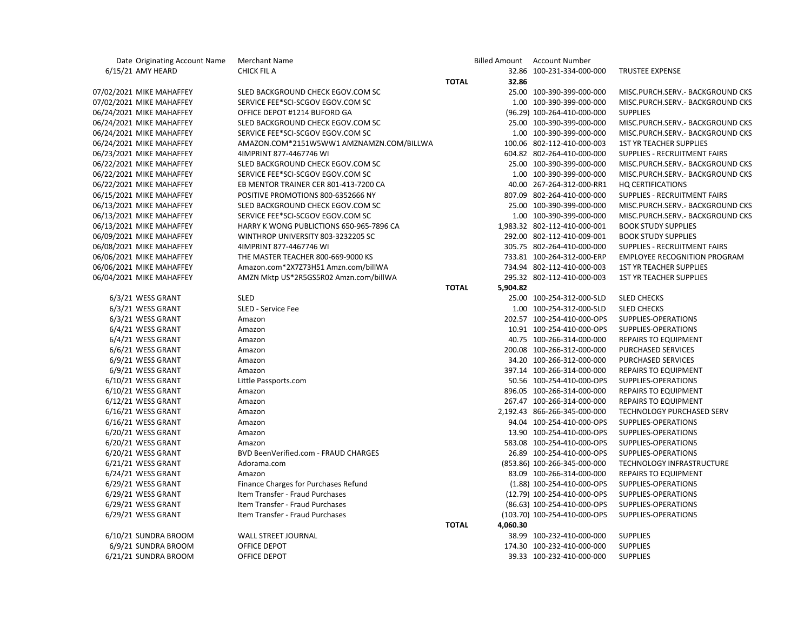| Date Originating Account Name | <b>Merchant Name</b>                     |              |          | Billed Amount Account Number |                                     |
|-------------------------------|------------------------------------------|--------------|----------|------------------------------|-------------------------------------|
| 6/15/21 AMY HEARD             | <b>CHICK FIL A</b>                       |              |          | 32.86 100-231-334-000-000    | <b>TRUSTEE EXPENSE</b>              |
|                               |                                          | <b>TOTAL</b> | 32.86    |                              |                                     |
| 07/02/2021 MIKE MAHAFFEY      | SLED BACKGROUND CHECK EGOV.COM SC        |              |          | 25.00 100-390-399-000-000    | MISC.PURCH.SERV.- BACKGROUND CKS    |
| 07/02/2021 MIKE MAHAFFEY      | SERVICE FEE*SCI-SCGOV EGOV.COM SC        |              |          | 1.00 100-390-399-000-000     | MISC.PURCH.SERV.- BACKGROUND CKS    |
| 06/24/2021 MIKE MAHAFFEY      | OFFICE DEPOT #1214 BUFORD GA             |              |          | (96.29) 100-264-410-000-000  | <b>SUPPLIES</b>                     |
| 06/24/2021 MIKE MAHAFFEY      | SLED BACKGROUND CHECK EGOV.COM SC        |              |          | 25.00 100-390-399-000-000    | MISC.PURCH.SERV.- BACKGROUND CKS    |
| 06/24/2021 MIKE MAHAFFEY      | SERVICE FEE*SCI-SCGOV EGOV.COM SC        |              |          | 1.00 100-390-399-000-000     | MISC.PURCH.SERV.- BACKGROUND CKS    |
| 06/24/2021 MIKE MAHAFFEY      | AMAZON.COM*2151W5WW1 AMZNAMZN.COM/BILLWA |              |          | 100.06 802-112-410-000-003   | <b>1ST YR TEACHER SUPPLIES</b>      |
| 06/23/2021 MIKE MAHAFFEY      | 4IMPRINT 877-4467746 WI                  |              |          | 604.82 802-264-410-000-000   | SUPPLIES - RECRUITMENT FAIRS        |
| 06/22/2021 MIKE MAHAFFEY      | SLED BACKGROUND CHECK EGOV.COM SC        |              |          | 25.00 100-390-399-000-000    | MISC.PURCH.SERV.- BACKGROUND CKS    |
| 06/22/2021 MIKE MAHAFFEY      | SERVICE FEE*SCI-SCGOV EGOV.COM SC        |              |          | 1.00 100-390-399-000-000     | MISC.PURCH.SERV.- BACKGROUND CKS    |
| 06/22/2021 MIKE MAHAFFEY      | EB MENTOR TRAINER CER 801-413-7200 CA    |              |          | 40.00 267-264-312-000-RR1    | <b>HQ CERTIFICATIONS</b>            |
| 06/15/2021 MIKE MAHAFFEY      | POSITIVE PROMOTIONS 800-6352666 NY       |              |          | 807.09 802-264-410-000-000   | SUPPLIES - RECRUITMENT FAIRS        |
| 06/13/2021 MIKE MAHAFFEY      | SLED BACKGROUND CHECK EGOV.COM SC        |              |          | 25.00 100-390-399-000-000    | MISC.PURCH.SERV.- BACKGROUND CKS    |
| 06/13/2021 MIKE MAHAFFEY      | SERVICE FEE*SCI-SCGOV EGOV.COM SC        |              |          | 1.00 100-390-399-000-000     | MISC.PURCH.SERV.- BACKGROUND CKS    |
| 06/13/2021 MIKE MAHAFFEY      | HARRY K WONG PUBLICTIONS 650-965-7896 CA |              |          | 1,983.32 802-112-410-000-001 | <b>BOOK STUDY SUPPLIES</b>          |
| 06/09/2021 MIKE MAHAFFEY      | WINTHROP UNIVERSITY 803-3232205 SC       |              |          | 292.00 802-112-410-009-001   | <b>BOOK STUDY SUPPLIES</b>          |
| 06/08/2021 MIKE MAHAFFEY      | 4IMPRINT 877-4467746 WI                  |              |          | 305.75 802-264-410-000-000   | SUPPLIES - RECRUITMENT FAIRS        |
| 06/06/2021 MIKE MAHAFFEY      | THE MASTER TEACHER 800-669-9000 KS       |              |          | 733.81 100-264-312-000-ERP   | <b>EMPLOYEE RECOGNITION PROGRAM</b> |
| 06/06/2021 MIKE MAHAFFEY      | Amazon.com*2X7Z73H51 Amzn.com/billWA     |              |          | 734.94 802-112-410-000-003   | <b>1ST YR TEACHER SUPPLIES</b>      |
| 06/04/2021 MIKE MAHAFFEY      | AMZN Mktp US*2R5GS5R02 Amzn.com/billWA   |              |          | 295.32 802-112-410-000-003   | <b>1ST YR TEACHER SUPPLIES</b>      |
|                               |                                          | <b>TOTAL</b> | 5,904.82 |                              |                                     |
| 6/3/21 WESS GRANT             | <b>SLED</b>                              |              |          | 25.00 100-254-312-000-SLD    | <b>SLED CHECKS</b>                  |
| 6/3/21 WESS GRANT             | SLED - Service Fee                       |              |          | 1.00 100-254-312-000-SLD     | <b>SLED CHECKS</b>                  |
| 6/3/21 WESS GRANT             | Amazon                                   |              |          | 202.57 100-254-410-000-OPS   | SUPPLIES-OPERATIONS                 |
| 6/4/21 WESS GRANT             | Amazon                                   |              |          | 10.91 100-254-410-000-OPS    | SUPPLIES-OPERATIONS                 |
| 6/4/21 WESS GRANT             | Amazon                                   |              |          | 40.75 100-266-314-000-000    | <b>REPAIRS TO EQUIPMENT</b>         |
| 6/6/21 WESS GRANT             | Amazon                                   |              |          | 200.08 100-266-312-000-000   | PURCHASED SERVICES                  |
| 6/9/21 WESS GRANT             | Amazon                                   |              |          | 34.20 100-266-312-000-000    | PURCHASED SERVICES                  |
| 6/9/21 WESS GRANT             | Amazon                                   |              |          | 397.14 100-266-314-000-000   | <b>REPAIRS TO EQUIPMENT</b>         |
| 6/10/21 WESS GRANT            | Little Passports.com                     |              |          | 50.56 100-254-410-000-OPS    | SUPPLIES-OPERATIONS                 |
| 6/10/21 WESS GRANT            | Amazon                                   |              |          | 896.05 100-266-314-000-000   | <b>REPAIRS TO EQUIPMENT</b>         |
| 6/12/21 WESS GRANT            | Amazon                                   |              |          | 267.47 100-266-314-000-000   | <b>REPAIRS TO EQUIPMENT</b>         |
| 6/16/21 WESS GRANT            | Amazon                                   |              |          | 2,192.43 866-266-345-000-000 | TECHNOLOGY PURCHASED SERV           |
| 6/16/21 WESS GRANT            | Amazon                                   |              |          | 94.04 100-254-410-000-OPS    | SUPPLIES-OPERATIONS                 |
| 6/20/21 WESS GRANT            | Amazon                                   |              |          | 13.90 100-254-410-000-OPS    | SUPPLIES-OPERATIONS                 |
| 6/20/21 WESS GRANT            | Amazon                                   |              |          | 583.08 100-254-410-000-OPS   | SUPPLIES-OPERATIONS                 |
| 6/20/21 WESS GRANT            | BVD BeenVerified.com - FRAUD CHARGES     |              |          | 26.89 100-254-410-000-OPS    | SUPPLIES-OPERATIONS                 |
| 6/21/21 WESS GRANT            | Adorama.com                              |              |          | (853.86) 100-266-345-000-000 | TECHNOLOGY INFRASTRUCTURE           |
| 6/24/21 WESS GRANT            | Amazon                                   |              |          | 83.09 100-266-314-000-000    | <b>REPAIRS TO EQUIPMENT</b>         |
| 6/29/21 WESS GRANT            | Finance Charges for Purchases Refund     |              |          | (1.88) 100-254-410-000-OPS   | SUPPLIES-OPERATIONS                 |
| 6/29/21 WESS GRANT            | Item Transfer - Fraud Purchases          |              |          | (12.79) 100-254-410-000-OPS  | SUPPLIES-OPERATIONS                 |
| 6/29/21 WESS GRANT            | Item Transfer - Fraud Purchases          |              |          | (86.63) 100-254-410-000-OPS  | SUPPLIES-OPERATIONS                 |
| 6/29/21 WESS GRANT            | Item Transfer - Fraud Purchases          |              |          | (103.70) 100-254-410-000-OPS | SUPPLIES-OPERATIONS                 |
|                               |                                          | <b>TOTAL</b> | 4,060.30 |                              |                                     |
| 6/10/21 SUNDRA BROOM          | WALL STREET JOURNAL                      |              |          | 38.99 100-232-410-000-000    | <b>SUPPLIES</b>                     |
| 6/9/21 SUNDRA BROOM           | OFFICE DEPOT                             |              |          | 174.30 100-232-410-000-000   | <b>SUPPLIES</b>                     |
| 6/21/21 SUNDRA BROOM          | OFFICE DEPOT                             |              |          | 39.33 100-232-410-000-000    | <b>SUPPLIES</b>                     |
|                               |                                          |              |          |                              |                                     |